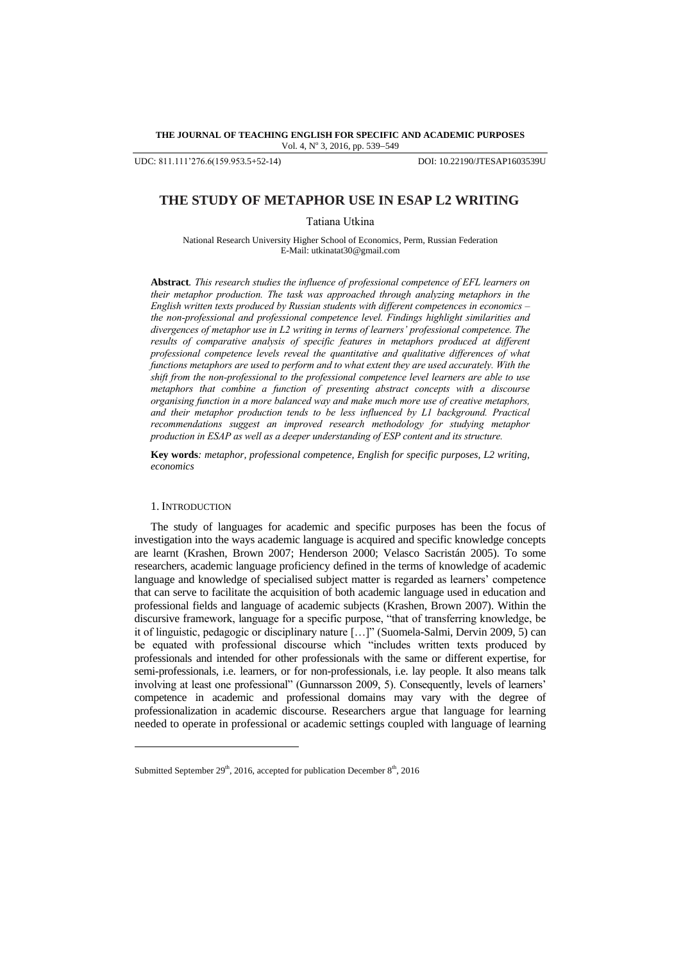**THE JOURNAL OF TEACHING ENGLISH FOR SPECIFIC AND ACADEMIC PURPOSES** Vol. 4, Nº 3, 2016, pp. 539-549

UDC: 811.111'276.6(159.953.5+52-14) DOI: 10.22190/JTESAP1603539U

# **THE STUDY OF METAPHOR USE IN ESAP L2 WRITING**

Tatiana Utkina

National Research University Higher School of Economics, Perm, Russian Federation E-Mail: utkinatat3[0@gmail.com](mailto:shamala@upm.edu.my)

**Abstract***. This research studies the influence of professional competence of EFL learners on their metaphor production. The task was approached through analyzing metaphors in the English written texts produced by Russian students with different competences in economics – the non-professional and professional competence level. Findings highlight similarities and divergences of metaphor use in L2 writing in terms of learners' professional competence. The results of comparative analysis of specific features in metaphors produced at different professional competence levels reveal the quantitative and qualitative differences of what functions metaphors are used to perform and to what extent they are used accurately. With the shift from the non-professional to the professional competence level learners are able to use metaphors that combine a function of presenting abstract concepts with a discourse organising function in a more balanced way and make much more use of creative metaphors, and their metaphor production tends to be less influenced by L1 background. Practical recommendations suggest an improved research methodology for studying metaphor production in ESAP as well as a deeper understanding of ESP content and its structure.*

**Key words***: metaphor, professional competence, English for specific purposes, L2 writing, economics*

## 1. INTRODUCTION

l

The study of languages for academic and specific purposes has been the focus of investigation into the ways academic language is acquired and specific knowledge concepts are learnt (Krashen, Brown 2007; Henderson 2000; Velasco Sacristán 2005). To some researchers, academic language proficiency defined in the terms of knowledge of academic language and knowledge of specialised subject matter is regarded as learners' competence that can serve to facilitate the acquisition of both academic language used in education and professional fields and language of academic subjects (Krashen, Brown 2007). Within the discursive framework, language for a specific purpose, "that of transferring knowledge, be it of linguistic, pedagogic or disciplinary nature […]" (Suomela-Salmi, Dervin 2009, 5) can be equated with professional discourse which "includes written texts produced by professionals and intended for other professionals with the same or different expertise, for semi-professionals, i.e. learners, or for non-professionals, i.e. lay people. It also means talk involving at least one professional" (Gunnarsson 2009, 5). Consequently, levels of learners' competence in academic and professional domains may vary with the degree of professionalization in academic discourse. Researchers argue that language for learning needed to operate in professional or academic settings coupled with language of learning

Submitted September 29<sup>th</sup>, 2016, accepted for publication December  $8<sup>th</sup>$ , 2016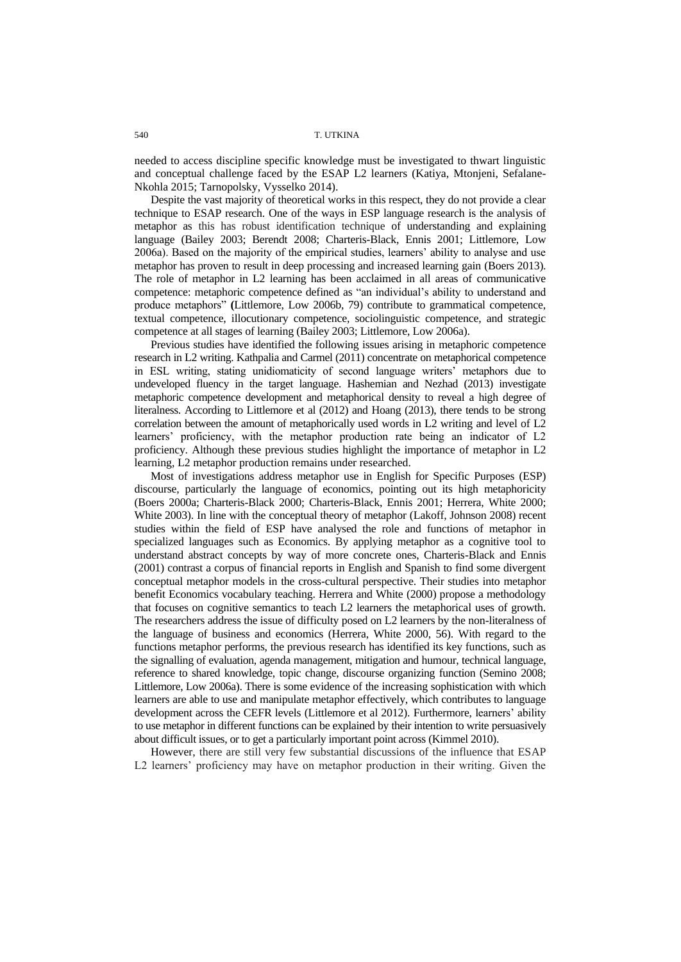needed to access discipline specific knowledge must be investigated to thwart linguistic and conceptual challenge faced by the ESAP L2 learners (Katiya, Mtonjeni, Sefalane-Nkohla 2015; Tarnopolsky, Vysselko 2014).

Despite the vast majority of theoretical works in this respect, they do not provide a clear technique to ESAP research. One of the ways in ESP language research is the analysis of metaphor as this has robust identification technique of understanding and explaining language (Bailey 2003; Berendt 2008; Charteris-Black, Ennis 2001; Littlemore, Low 2006a). Based on the majority of the empirical studies, learners" ability to analyse and use metaphor has proven to result in deep processing and increased learning gain (Boers 2013). The role of metaphor in L2 learning has been acclaimed in all areas of communicative competence: metaphoric competence defined as "an individual"s ability to understand and produce metaphors" **(**Littlemore, Low 2006b, 79) contribute to grammatical competence, textual competence, illocutionary competence, sociolinguistic competence, and strategic competence at all stages of learning (Bailey 2003; Littlemore, Low 2006a).

Previous studies have identified the following issues arising in metaphoric competence research in L2 writing. Kathpalia and Carmel (2011) concentrate on metaphorical competence in ESL writing, stating unidiomaticity of second language writers" metaphors due to undeveloped fluency in the target language. Hashemian and Nezhad (2013) investigate metaphoric competence development and metaphorical density to reveal a high degree of literalness. According to Littlemore et al (2012) and Hoang (2013), there tends to be strong correlation between the amount of metaphorically used words in L2 writing and level of L2 learners" proficiency, with the metaphor production rate being an indicator of L2 proficiency. Although these previous studies highlight the importance of metaphor in L2 learning, L2 metaphor production remains under researched.

Most of investigations address metaphor use in English for Specific Purposes (ESP) discourse, particularly the language of economics, pointing out its high metaphoricity (Boers 2000a; Charteris-Black 2000; Charteris-Black, Ennis 2001; Herrera, White 2000; White 2003). In line with the conceptual theory of metaphor (Lakoff, Johnson 2008) recent studies within the field of ESP have analysed the role and functions of metaphor in specialized languages such as Economics. By applying metaphor as a cognitive tool to understand abstract concepts by way of more concrete ones, Charteris-Black and Ennis (2001) contrast a corpus of financial reports in English and Spanish to find some divergent conceptual metaphor models in the cross-cultural perspective. Their studies into metaphor benefit Economics vocabulary teaching. Herrera and White (2000) propose a methodology that focuses on cognitive semantics to teach L2 learners the metaphorical uses of growth. The researchers address the issue of difficulty posed on L2 learners by the non-literalness of the language of business and economics (Herrera, White 2000, 56). With regard to the functions metaphor performs, the previous research has identified its key functions, such as the signalling of evaluation, agenda management, mitigation and humour, technical language, reference to shared knowledge, topic change, discourse organizing function (Semino 2008; Littlemore, Low 2006a). There is some evidence of the increasing sophistication with which learners are able to use and manipulate metaphor effectively, which contributes to language development across the CEFR levels (Littlemore et al 2012). Furthermore, learners' ability to use metaphor in different functions can be explained by their intention to write persuasively about difficult issues, or to get a particularly important point across (Kimmel 2010).

However, there are still very few substantial discussions of the influence that ESAP L2 learners' proficiency may have on metaphor production in their writing. Given the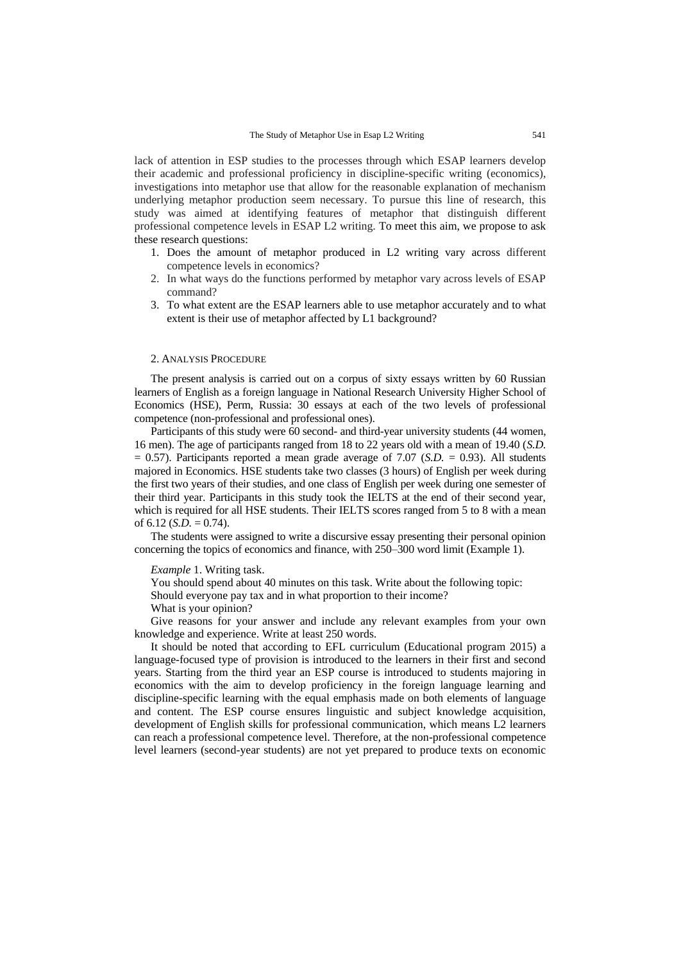lack of attention in ESP studies to the processes through which ESAP learners develop their academic and professional proficiency in discipline-specific writing (economics), investigations into metaphor use that allow for the reasonable explanation of mechanism underlying metaphor production seem necessary. To pursue this line of research, this study was aimed at identifying features of metaphor that distinguish different professional competence levels in ESAP L2 writing. To meet this aim, we propose to ask these research questions:

- 1. Does the amount of metaphor produced in L2 writing vary across different competence levels in economics?
- 2. In what ways do the functions performed by metaphor vary across levels of ESAP command?
- 3. To what extent are the ESAP learners able to use metaphor accurately and to what extent is their use of metaphor affected by L1 background?

### 2. ANALYSIS PROCEDURE

The present analysis is carried out on a corpus of sixty essays written by 60 Russian learners of English as a foreign language in National Research University Higher School of Economics (HSE), Perm, Russia: 30 essays at each of the two levels of professional competence (non-professional and professional ones).

Participants of this study were 60 second- and third-year university students (44 women, 16 men). The age of participants ranged from 18 to 22 years old with a mean of 19.40 (*S.D.*  $= 0.57$ ). Participants reported a mean grade average of 7.07 (*S.D.* = 0.93). All students majored in Economics. HSE students take two classes (3 hours) of English per week during the first two years of their studies, and one class of English per week during one semester of their third year. Participants in this study took the IELTS at the end of their second year, which is required for all HSE students. Their IELTS scores ranged from 5 to 8 with a mean of  $6.12$  (*S.D.* = 0.74).

The students were assigned to write a discursive essay presenting their personal opinion concerning the topics of economics and finance, with 250–300 word limit (Example 1).

*Example* 1. Writing task.

You should spend about 40 minutes on this task. Write about the following topic:

Should everyone pay tax and in what proportion to their income?

What is your opinion?

Give reasons for your answer and include any relevant examples from your own knowledge and experience. Write at least 250 words.

It should be noted that according to EFL curriculum (Educational program 2015) a language-focused type of provision is introduced to the learners in their first and second years. Starting from the third year an ESP course is introduced to students majoring in economics with the aim to develop proficiency in the foreign language learning and discipline-specific learning with the equal emphasis made on both elements of language and content. The ESP course ensures linguistic and subject knowledge acquisition, development of English skills for professional communication, which means L2 learners can reach a professional competence level. Therefore, at the non-professional competence level learners (second-year students) are not yet prepared to produce texts on economic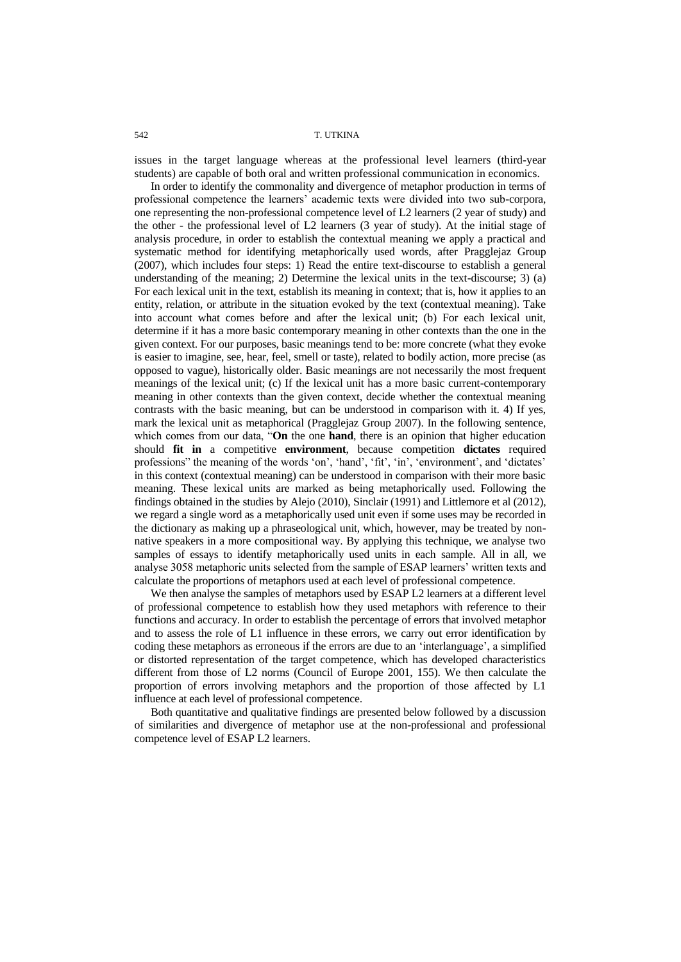542 T. UTKINA

issues in the target language whereas at the professional level learners (third-year students) are capable of both oral and written professional communication in economics.

In order to identify the commonality and divergence of metaphor production in terms of professional competence the learners" academic texts were divided into two sub-corpora, one representing the non-professional competence level of L2 learners (2 year of study) and the other - the professional level of L2 learners (3 year of study). At the initial stage of analysis procedure, in order to establish the contextual meaning we apply a practical and systematic method for identifying metaphorically used words, after Pragglejaz Group (2007), which includes four steps: 1) Read the entire text-discourse to establish a general understanding of the meaning; 2) Determine the lexical units in the text-discourse; 3) (a) For each lexical unit in the text, establish its meaning in context; that is, how it applies to an entity, relation, or attribute in the situation evoked by the text (contextual meaning). Take into account what comes before and after the lexical unit; (b) For each lexical unit, determine if it has a more basic contemporary meaning in other contexts than the one in the given context. For our purposes, basic meanings tend to be: more concrete (what they evoke is easier to imagine, see, hear, feel, smell or taste), related to bodily action, more precise (as opposed to vague), historically older. Basic meanings are not necessarily the most frequent meanings of the lexical unit; (c) If the lexical unit has a more basic current-contemporary meaning in other contexts than the given context, decide whether the contextual meaning contrasts with the basic meaning, but can be understood in comparison with it. 4) If yes, mark the lexical unit as metaphorical (Pragglejaz Group 2007). In the following sentence, which comes from our data, "On the one hand, there is an opinion that higher education should **fit in** a competitive **environment**, because competition **dictates** required professions" the meaning of the words 'on', 'hand', 'fit', 'in', 'environment', and 'dictates' in this context (contextual meaning) can be understood in comparison with their more basic meaning. These lexical units are marked as being metaphorically used. Following the findings obtained in the studies by Alejo (2010), Sinclair (1991) and Littlemore et al (2012), we regard a single word as a metaphorically used unit even if some uses may be recorded in the dictionary as making up a phraseological unit, which, however, may be treated by nonnative speakers in a more compositional way. By applying this technique, we analyse two samples of essays to identify metaphorically used units in each sample. All in all, we analyse 3058 metaphoric units selected from the sample of ESAP learners" written texts and calculate the proportions of metaphors used at each level of professional competence.

We then analyse the samples of metaphors used by ESAP L2 learners at a different level of professional competence to establish how they used metaphors with reference to their functions and accuracy. In order to establish the percentage of errors that involved metaphor and to assess the role of L1 influence in these errors, we carry out error identification by coding these metaphors as erroneous if the errors are due to an "interlanguage", a simplified or distorted representation of the target competence, which has developed characteristics different from those of L2 norms (Council of Europe 2001, 155). We then calculate the proportion of errors involving metaphors and the proportion of those affected by L1 influence at each level of professional competence.

Both quantitative and qualitative findings are presented below followed by a discussion of similarities and divergence of metaphor use at the non-professional and professional competence level of ESAP L2 learners.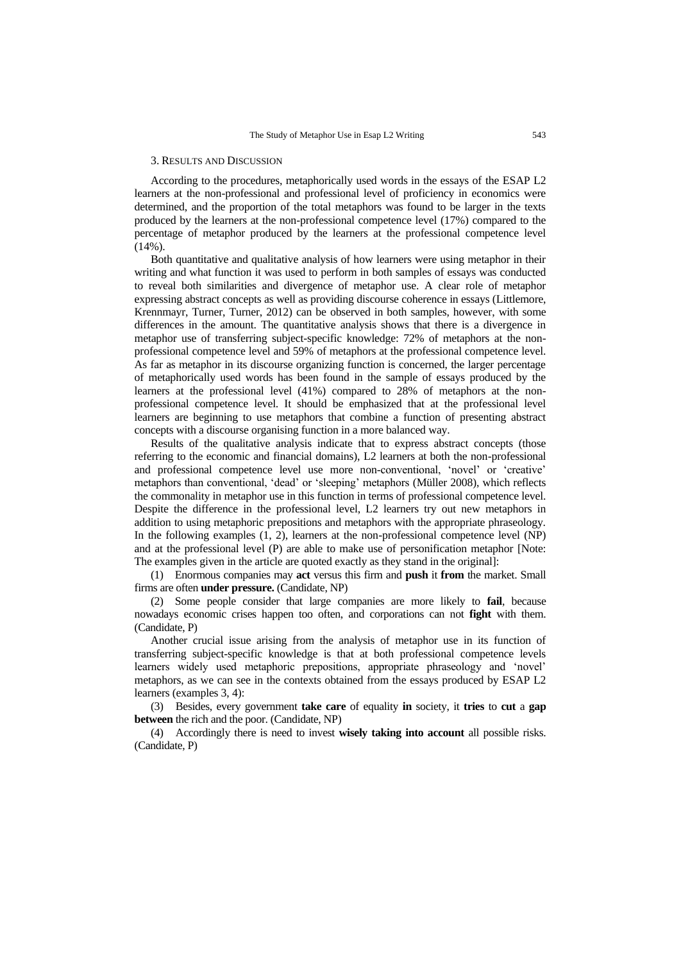### 3. RESULTS AND DISCUSSION

According to the procedures, metaphorically used words in the essays of the ESAP L2 learners at the non-professional and professional level of proficiency in economics were determined, and the proportion of the total metaphors was found to be larger in the texts produced by the learners at the non-professional competence level (17%) compared to the percentage of metaphor produced by the learners at the professional competence level  $(14\%)$ .

Both quantitative and qualitative analysis of how learners were using metaphor in their writing and what function it was used to perform in both samples of essays was conducted to reveal both similarities and divergence of metaphor use. A clear role of metaphor expressing abstract concepts as well as providing discourse coherence in essays (Littlemore, Krennmayr, Turner, Turner, 2012) can be observed in both samples, however, with some differences in the amount. The quantitative analysis shows that there is a divergence in metaphor use of transferring subject-specific knowledge: 72% of metaphors at the nonprofessional competence level and 59% of metaphors at the professional competence level. As far as metaphor in its discourse organizing function is concerned, the larger percentage of metaphorically used words has been found in the sample of essays produced by the learners at the professional level (41%) compared to 28% of metaphors at the nonprofessional competence level. It should be emphasized that at the professional level learners are beginning to use metaphors that combine a function of presenting abstract concepts with a discourse organising function in a more balanced way.

Results of the qualitative analysis indicate that to express abstract concepts (those referring to the economic and financial domains), L2 learners at both the non-professional and professional competence level use more non-conventional, 'novel' or 'creative' metaphors than conventional, "dead" or "sleeping" metaphors (Müller 2008), which reflects the commonality in metaphor use in this function in terms of professional competence level. Despite the difference in the professional level, L2 learners try out new metaphors in addition to using metaphoric prepositions and metaphors with the appropriate phraseology. In the following examples (1, 2), learners at the non-professional competence level (NP) and at the professional level (P) are able to make use of personification metaphor [Note: The examples given in the article are quoted exactly as they stand in the original]:

(1) Enormous companies may **act** versus this firm and **push** it **from** the market. Small firms are often **under pressure.** (Candidate, NP)

(2) Some people consider that large companies are more likely to **fail**, because nowadays economic crises happen too often, and corporations can not **fight** with them. (Candidate, P)

Another crucial issue arising from the analysis of metaphor use in its function of transferring subject-specific knowledge is that at both professional competence levels learners widely used metaphoric prepositions, appropriate phraseology and "novel" metaphors, as we can see in the contexts obtained from the essays produced by ESAP L2 learners (examples 3, 4):

(3) Besides, every government **take care** of equality **in** society, it **tries** to **cut** a **gap between** the rich and the poor. (Candidate, NP)

(4) Accordingly there is need to invest **wisely taking into account** all possible risks. (Candidate, P)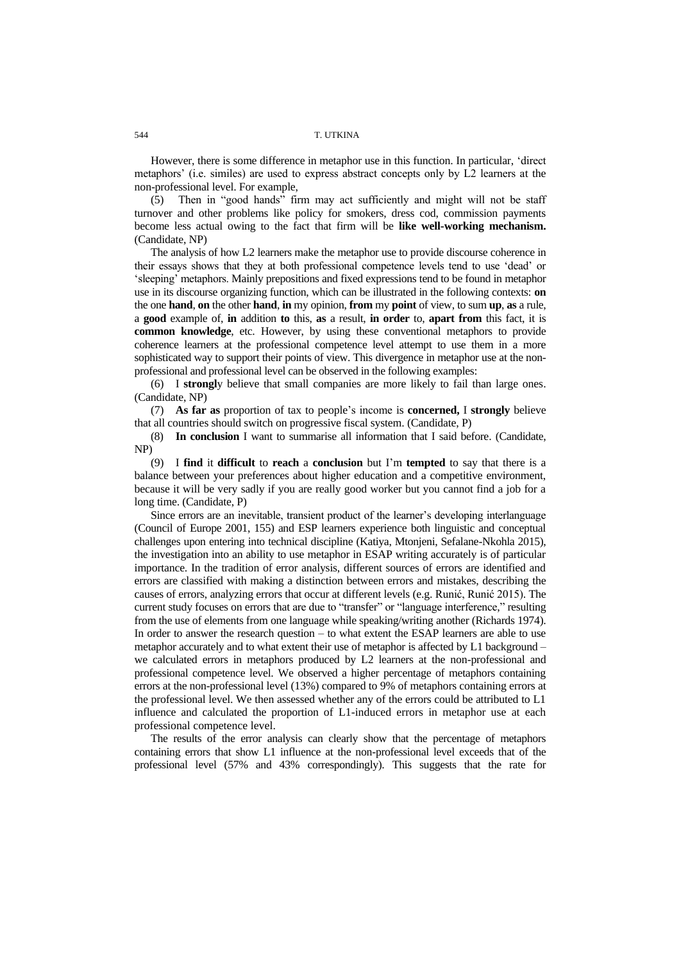However, there is some difference in metaphor use in this function. In particular, "direct metaphors" (i.e. similes) are used to express abstract concepts only by L2 learners at the non-professional level. For example,

(5) Then in "good hands" firm may act sufficiently and might will not be staff turnover and other problems like policy for smokers, dress cod, commission payments become less actual owing to the fact that firm will be **like well-working mechanism.** (Candidate, NP)

The analysis of how L2 learners make the metaphor use to provide discourse coherence in their essays shows that they at both professional competence levels tend to use "dead" or "sleeping" metaphors. Mainly prepositions and fixed expressions tend to be found in metaphor use in its discourse organizing function, which can be illustrated in the following contexts: **on**  the one **hand**, **on** the other **hand**, **in** my opinion, **from** my **point** of view, to sum **up**, **as** a rule, a **good** example of, **in** addition **to** this, **as** a result, **in order** to, **apart from** this fact, it is **common knowledge**, etc. However, by using these conventional metaphors to provide coherence learners at the professional competence level attempt to use them in a more sophisticated way to support their points of view. This divergence in metaphor use at the nonprofessional and professional level can be observed in the following examples:

(6) I **strongl**y believe that small companies are more likely to fail than large ones. (Candidate, NP)

(7) **As far as** proportion of tax to people"s income is **concerned,** I **strongly** believe that all countries should switch on progressive fiscal system. (Candidate, P)

(8) **In conclusion** I want to summarise all information that I said before. (Candidate, NP)

(9) I **find** it **difficult** to **reach** a **conclusion** but I"m **tempted** to say that there is a balance between your preferences about higher education and a competitive environment, because it will be very sadly if you are really good worker but you cannot find a job for a long time. (Candidate, P)

Since errors are an inevitable, transient product of the learner's developing interlanguage (Council of Europe 2001, 155) and ESP learners experience both linguistic and conceptual challenges upon entering into technical discipline (Katiya, Mtonjeni, Sefalane-Nkohla 2015), the investigation into an ability to use metaphor in ESAP writing accurately is of particular importance. In the tradition of error analysis, different sources of errors are identified and errors are classified with making a distinction between errors and mistakes, describing the causes of errors, analyzing errors that occur at different levels (e.g. Runić, Runić 2015). The current study focuses on errors that are due to "transfer" or "language interference," resulting from the use of elements from one language while speaking/writing another (Richards 1974). In order to answer the research question – to what extent the ESAP learners are able to use metaphor accurately and to what extent their use of metaphor is affected by L1 background – we calculated errors in metaphors produced by L2 learners at the non-professional and professional competence level. We observed a higher percentage of metaphors containing errors at the non-professional level (13%) compared to 9% of metaphors containing errors at the professional level. We then assessed whether any of the errors could be attributed to L1 influence and calculated the proportion of L1-induced errors in metaphor use at each professional competence level.

The results of the error analysis can clearly show that the percentage of metaphors containing errors that show L1 influence at the non-professional level exceeds that of the professional level (57% and 43% correspondingly). This suggests that the rate for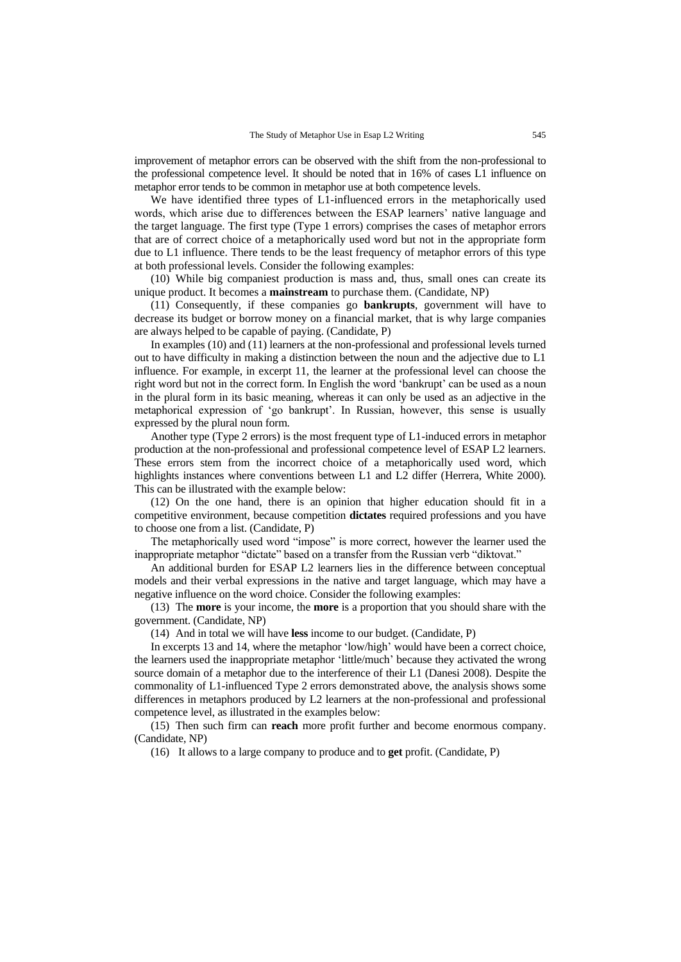improvement of metaphor errors can be observed with the shift from the non-professional to the professional competence level. It should be noted that in 16% of cases L1 influence on metaphor error tends to be common in metaphor use at both competence levels.

We have identified three types of L1-influenced errors in the metaphorically used words, which arise due to differences between the ESAP learners" native language and the target language. The first type (Type 1 errors) comprises the cases of metaphor errors that are of correct choice of a metaphorically used word but not in the appropriate form due to L1 influence. There tends to be the least frequency of metaphor errors of this type at both professional levels. Consider the following examples:

(10) While big companiest production is mass and, thus, small ones can create its unique product. It becomes a **mainstream** to purchase them. (Candidate, NP)

(11) Consequently, if these companies go **bankrupts**, government will have to decrease its budget or borrow money on a financial market, that is why large companies are always helped to be capable of paying. (Candidate, P)

In examples (10) and (11) learners at the non-professional and professional levels turned out to have difficulty in making a distinction between the noun and the adjective due to L1 influence. For example, in excerpt 11, the learner at the professional level can choose the right word but not in the correct form. In English the word "bankrupt" can be used as a noun in the plural form in its basic meaning, whereas it can only be used as an adjective in the metaphorical expression of "go bankrupt". In Russian, however, this sense is usually expressed by the plural noun form.

Another type (Type 2 errors) is the most frequent type of L1-induced errors in metaphor production at the non-professional and professional competence level of ESAP L2 learners. These errors stem from the incorrect choice of a metaphorically used word, which highlights instances where conventions between L1 and L2 differ (Herrera, White 2000). This can be illustrated with the example below:

(12) On the one hand, there is an opinion that higher education should fit in a competitive environment, because competition **dictates** required professions and you have to choose one from a list. (Candidate, P)

The metaphorically used word "impose" is more correct, however the learner used the inappropriate metaphor "dictate" based on a transfer from the Russian verb "diktovat."

An additional burden for ESAP L2 learners lies in the difference between conceptual models and their verbal expressions in the native and target language, which may have a negative influence on the word choice. Consider the following examples:

(13) The **more** is your income, the **more** is a proportion that you should share with the government. (Candidate, NP)

(14) And in total we will have **less** income to our budget. (Candidate, P)

In excerpts 13 and 14, where the metaphor "low/high" would have been a correct choice, the learners used the inappropriate metaphor "little/much" because they activated the wrong source domain of a metaphor due to the interference of their L1 (Danesi 2008). Despite the commonality of L1-influenced Type 2 errors demonstrated above, the analysis shows some differences in metaphors produced by L2 learners at the non-professional and professional competence level, as illustrated in the examples below:

(15) Then such firm can **reach** more profit further and become enormous company. (Candidate, NP)

(16) It allows to a large company to produce and to **get** profit. (Candidate, P)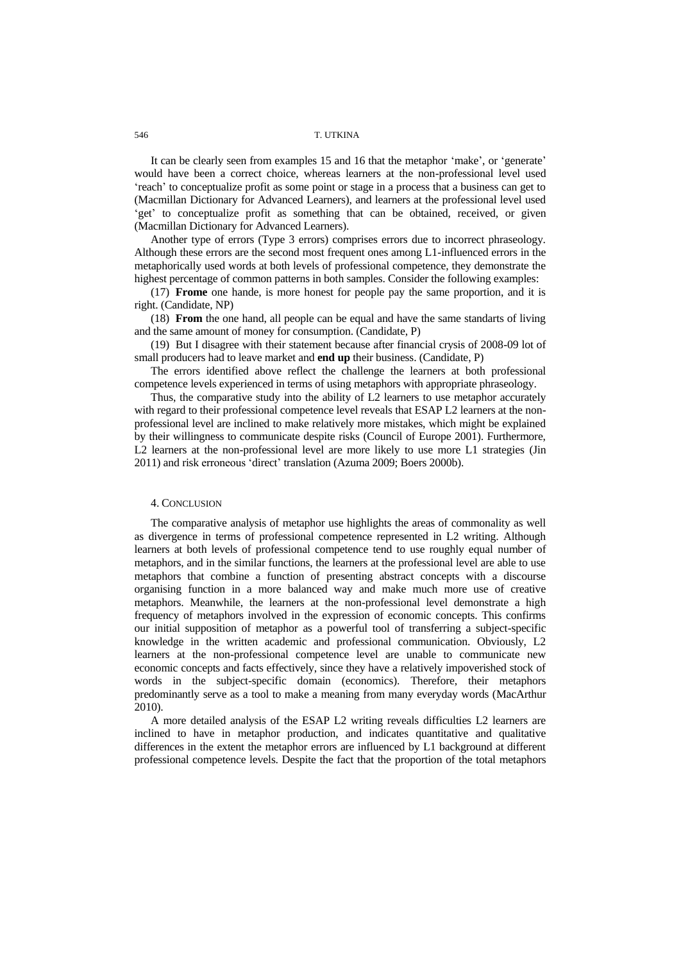## 546 T. UTKINA

It can be clearly seen from examples 15 and 16 that the metaphor 'make', or 'generate' would have been a correct choice, whereas learners at the non-professional level used "reach" to conceptualize profit as some point or stage in a process that a business can get to (Macmillan Dictionary for Advanced Learners), and learners at the professional level used 'get' to conceptualize profit as something that can be obtained, received, or given (Macmillan Dictionary for Advanced Learners).

Another type of errors (Type 3 errors) comprises errors due to incorrect phraseology. Although these errors are the second most frequent ones among L1-influenced errors in the metaphorically used words at both levels of professional competence, they demonstrate the highest percentage of common patterns in both samples. Consider the following examples:

(17) **Frome** one hande, is more honest for people pay the same proportion, and it is right. (Candidate, NP)

(18) **From** the one hand, all people can be equal and have the same standarts of living and the same amount of money for consumption. (Candidate, P)

(19) But I disagree with their statement because after financial crysis of 2008-09 lot of small producers had to leave market and **end up** their business. (Candidate, P)

The errors identified above reflect the challenge the learners at both professional competence levels experienced in terms of using metaphors with appropriate phraseology.

Thus, the comparative study into the ability of L2 learners to use metaphor accurately with regard to their professional competence level reveals that ESAP L2 learners at the nonprofessional level are inclined to make relatively more mistakes, which might be explained by their willingness to communicate despite risks (Council of Europe 2001). Furthermore, L2 learners at the non-professional level are more likely to use more L1 strategies (Jin 2011) and risk erroneous "direct" translation (Azuma 2009; Boers 2000b).

## 4. CONCLUSION

The comparative analysis of metaphor use highlights the areas of commonality as well as divergence in terms of professional competence represented in L2 writing. Although learners at both levels of professional competence tend to use roughly equal number of metaphors, and in the similar functions, the learners at the professional level are able to use metaphors that combine a function of presenting abstract concepts with a discourse organising function in a more balanced way and make much more use of creative metaphors. Meanwhile, the learners at the non-professional level demonstrate a high frequency of metaphors involved in the expression of economic concepts. This confirms our initial supposition of metaphor as a powerful tool of transferring a subject-specific knowledge in the written academic and professional communication. Obviously, L2 learners at the non-professional competence level are unable to communicate new economic concepts and facts effectively, since they have a relatively impoverished stock of words in the subject-specific domain (economics). Therefore, their metaphors predominantly serve as a tool to make a meaning from many everyday words (MacArthur 2010).

A more detailed analysis of the ESAP L2 writing reveals difficulties L2 learners are inclined to have in metaphor production, and indicates quantitative and qualitative differences in the extent the metaphor errors are influenced by L1 background at different professional competence levels. Despite the fact that the proportion of the total metaphors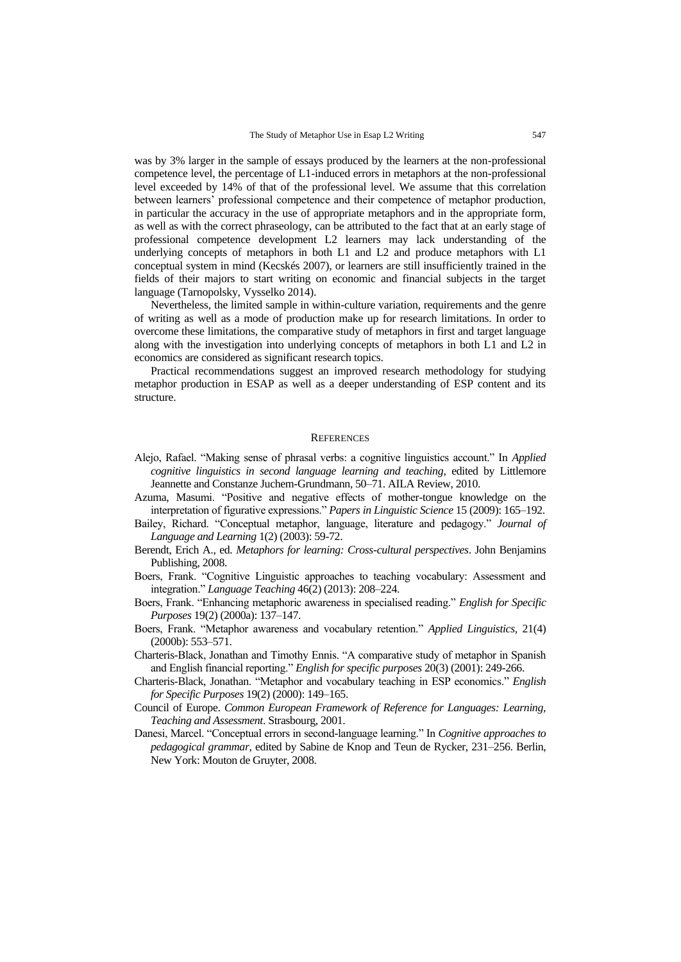was by 3% larger in the sample of essays produced by the learners at the non-professional competence level, the percentage of L1-induced errors in metaphors at the non-professional level exceeded by 14% of that of the professional level. We assume that this correlation between learners" professional competence and their competence of metaphor production, in particular the accuracy in the use of appropriate metaphors and in the appropriate form, as well as with the correct phraseology, can be attributed to the fact that at an early stage of professional competence development L2 learners may lack understanding of the underlying concepts of metaphors in both L1 and L2 and produce metaphors with L1 conceptual system in mind (Kecskés 2007), or learners are still insufficiently trained in the fields of their majors to start writing on economic and financial subjects in the target language (Tarnopolsky, Vysselko 2014).

Nevertheless, the limited sample in within-culture variation, requirements and the genre of writing as well as a mode of production make up for research limitations. In order to overcome these limitations, the comparative study of metaphors in first and target language along with the investigation into underlying concepts of metaphors in both L1 and L2 in economics are considered as significant research topics.

Practical recommendations suggest an improved research methodology for studying metaphor production in ESAP as well as a deeper understanding of ESP content and its structure.

#### **REFERENCES**

- Alejo, Rafael. "Making sense of phrasal verbs: a cognitive linguistics account." In *Applied cognitive linguistics in second language learning and teaching*, edited by Littlemore Jeannette and Constanze Juchem-Grundmann, 50–71. AILA Review, 2010.
- Azuma, Masumi. "Positive and negative effects of mother-tongue knowledge on the interpretation of figurative expressions." *Papers in Linguistic Science* 15 (2009): 165–192.
- Bailey, Richard. "Conceptual metaphor, language, literature and pedagogy." *Journal of Language and Learning* 1(2) (2003): 59-72.
- Berendt, Erich A., ed. *Metaphors for learning: Cross-cultural perspectives*. John Benjamins Publishing, 2008.
- Boers, Frank. "Cognitive Linguistic approaches to teaching vocabulary: Assessment and integration." *Language Teaching* 46(2) (2013): 208–224.
- Boers, Frank. "Enhancing metaphoric awareness in specialised reading." *English for Specific Purposes* 19(2) (2000a): 137–147.
- Boers, Frank. "Metaphor awareness and vocabulary retention." *Applied Linguistics,* 21(4) (2000b): 553–571.
- Charteris-Black, Jonathan and Timothy Ennis. "A comparative study of metaphor in Spanish and English financial reporting." *English for specific purposes* 20(3) (2001): 249-266.
- Charteris-Black, Jonathan. "Metaphor and vocabulary teaching in ESP economics." *English for Specific Purposes* 19(2) (2000): 149–165.
- Council of Europe. *Common European Framework of Reference for Languages: Learning, Teaching and Assessment*. Strasbourg, 2001.
- Danesi, Marcel. "Conceptual errors in second-language learning." In *Cognitive approaches to pedagogical grammar*, edited by Sabine de Knop and Teun de Rycker, 231–256. Berlin, New York: Mouton de Gruyter, 2008.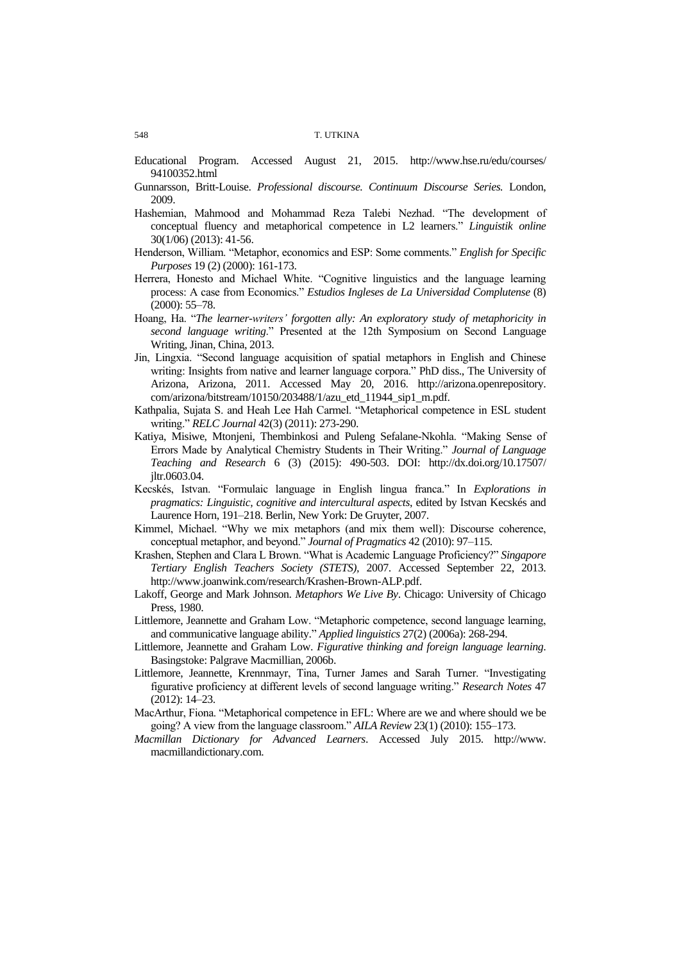- Educational Program. Accessed August 21, 2015. [http://www.hse.ru/edu/courses/](http://www.hse.ru/edu/courses/94100352.html) [94100352.html](http://www.hse.ru/edu/courses/94100352.html)
- Gunnarsson, Britt-Louise. *Professional discourse. Continuum Discourse Series.* London, 2009.
- Hashemian, Mahmood and Mohammad Reza Talebi Nezhad. "The development of conceptual fluency and metaphorical competence in L2 learners." *Linguistik online* 30(1/06) (2013): 41-56.
- Henderson, William. "Metaphor, economics and ESP: Some comments." *English for Specific Purposes* 19 (2) (2000): 161-173.
- Herrera, Honesto and Michael White. "Cognitive linguistics and the language learning process: A case from Economics." *Estudios Ingleses de La Universidad Complutense* (8) (2000): 55–78.
- Hoang, Ha. "*The learner-writers' forgotten ally: An exploratory study of metaphoricity in second language writing*." Presented at the 12th Symposium on Second Language Writing, Jinan, China, 2013.
- Jin, Lingxia. "Second language acquisition of spatial metaphors in English and Chinese writing: Insights from native and learner language corpora." PhD diss., The University of Arizona, Arizona, 2011. Accessed May 20, 2016. http://arizona.openrepository. com/arizona/bitstream/10150/203488/1/azu\_etd\_11944\_sip1\_m.pdf.
- Kathpalia, Sujata S. and Heah Lee Hah Carmel. "Metaphorical competence in ESL student writing." *RELC Journal* 42(3) (2011): 273-290.
- Katiya, Misiwe, Mtonjeni, Thembinkosi and Puleng Sefalane-Nkohla. "Making Sense of Errors Made by Analytical Chemistry Students in Their Writing." *Journal of Language Teaching and Research* 6 (3) (2015): 490-503. DOI: [http://dx.doi.org/10.17507/](http://dx.doi.org/10.17507/jltr.0603.04) [jltr.0603.04.](http://dx.doi.org/10.17507/jltr.0603.04)
- Kecskés, Istvan. "Formulaic language in English lingua franca." In *Explorations in pragmatics: Linguistic, cognitive and intercultural aspects*, edited by Istvan Kecskés and Laurence Horn, 191–218. Berlin, New York: De Gruyter, 2007.
- Kimmel, Michael. "Why we mix metaphors (and mix them well): Discourse coherence, conceptual metaphor, and beyond." *Journal of Pragmatics* 42 (2010): 97–115.
- Krashen, Stephen and Clara L Brown. "What is Academic Language Proficiency?" *Singapore Tertiary English Teachers Society (STETS),* 2007. Accessed September 22, 2013. http://www.joanwink.com/research/Krashen-Brown-ALP.pdf.
- Lakoff, George and Mark Johnson. *Metaphors We Live By*. Chicago: University of Chicago Press, 1980.
- Littlemore, Jeannette and Graham Low. "Metaphoric competence, second language learning, and communicative language ability." *Applied linguistics* 27(2) (2006a): 268-294.
- Littlemore, Jeannette and Graham Low. *Figurative thinking and foreign language learning*. Basingstoke: Palgrave Macmillian, 2006b.
- Littlemore, Jeannette, Krennmayr, Tina, Turner James and Sarah Turner. "Investigating figurative proficiency at different levels of second language writing." *Research Notes* 47 (2012): 14–23.
- MacArthur, Fiona. "Metaphorical competence in EFL: Where are we and where should we be going? A view from the language classroom." *AILA Review* 23(1) (2010): 155–173.
- *Macmillan Dictionary for Advanced Learners*. Accessed July 2015. http://www. macmillandictionary.com.